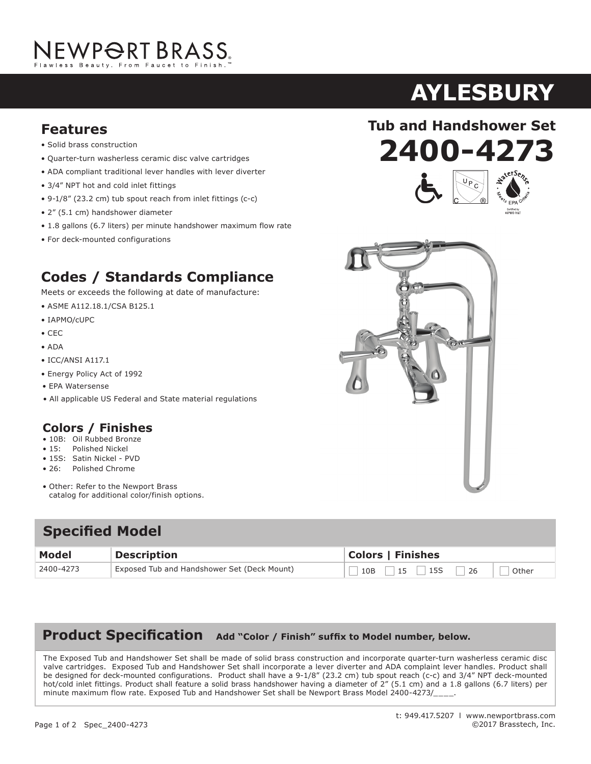# NEWP<del>O</del>RT BRASS.

- Solid brass construction
- Quarter-turn washerless ceramic disc valve cartridges
- ADA compliant traditional lever handles with lever diverter
- 3/4" NPT hot and cold inlet fittings
- 9-1/8" (23.2 cm) tub spout reach from inlet fittings (c-c)
- 2" (5.1 cm) handshower diameter
- 1.8 gallons (6.7 liters) per minute handshower maximum flow rate
- For deck-mounted configurations

### **Codes / Standards Compliance**

Meets or exceeds the following at date of manufacture:

- ASME A112.18.1/CSA B125.1
- IAPMO/cUPC
- CEC
- ADA
- ICC/ANSI A117.1
- Energy Policy Act of 1992
- EPA Watersense
- All applicable US Federal and State material regulations

#### **Colors / Finishes**

- 10B: Oil Rubbed Bronze
- 15: Polished Nickel
- 15S: Satin Nickel PVD
- 26: Polished Chrome
- Other: Refer to the Newport Brass catalog for additional color/finish options.

#### **Specified Model**

| Model     | Description                                 | <b>Colors   Finishes</b> |
|-----------|---------------------------------------------|--------------------------|
| 2400-4273 | Exposed Tub and Handshower Set (Deck Mount) | Other                    |

#### Product Specification Add "Color / Finish" suffix to Model number, below.

The Exposed Tub and Handshower Set shall be made of solid brass construction and incorporate quarter-turn washerless ceramic disc valve cartridges. Exposed Tub and Handshower Set shall incorporate a lever diverter and ADA complaint lever handles. Product shall be designed for deck-mounted configurations. Product shall have a 9-1/8" (23.2 cm) tub spout reach (c-c) and 3/4" NPT deck-mounted hot/cold inlet fittings. Product shall feature a solid brass handshower having a diameter of 2" (5.1 cm) and a 1.8 gallons (6.7 liters) per minute maximum flow rate. Exposed Tub and Handshower Set shall be Newport Brass Model 2400-4273/

## **AYLESBURY**